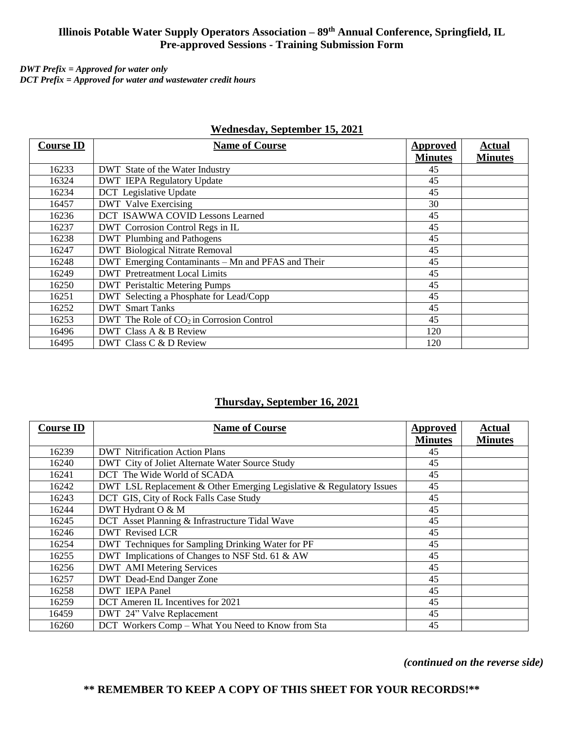# **Illinois Potable Water Supply Operators Association – 89th Annual Conference, Springfield, IL Pre-approved Sessions - Training Submission Form**

*DWT Prefix = Approved for water only* *DCT Prefix = Approved for water and wastewater credit hours*

| <b>Course ID</b> | <b>Name of Course</b>                             | <b>Approved</b><br><b>Minutes</b> | <b>Actual</b><br><b>Minutes</b> |
|------------------|---------------------------------------------------|-----------------------------------|---------------------------------|
| 16233            | <b>DWT</b> State of the Water Industry            | 45                                |                                 |
| 16324            | <b>DWT</b> IEPA Regulatory Update                 | 45                                |                                 |
| 16234            | <b>DCT</b> Legislative Update                     | 45                                |                                 |
| 16457            | <b>DWT</b> Valve Exercising                       | 30                                |                                 |
| 16236            | DCT ISAWWA COVID Lessons Learned                  | 45                                |                                 |
| 16237            | DWT Corrosion Control Regs in IL                  | 45                                |                                 |
| 16238            | <b>DWT</b> Plumbing and Pathogens                 | 45                                |                                 |
| 16247            | <b>DWT</b> Biological Nitrate Removal             | 45                                |                                 |
| 16248            | DWT Emerging Contaminants - Mn and PFAS and Their | 45                                |                                 |
| 16249            | <b>DWT</b> Pretreatment Local Limits              | 45                                |                                 |
| 16250            | <b>DWT</b> Peristaltic Metering Pumps             | 45                                |                                 |
| 16251            | DWT Selecting a Phosphate for Lead/Copp           | 45                                |                                 |
| 16252            | <b>DWT</b> Smart Tanks                            | 45                                |                                 |
| 16253            | DWT The Role of $CO2$ in Corrosion Control        | 45                                |                                 |
| 16496            | DWT Class A & B Review                            | 120                               |                                 |
| 16495            | DWT Class C & D Review                            | 120                               |                                 |

#### **Wednesday, September 15, 2021**

## **Thursday, September 16, 2021**

| <b>Course ID</b> | <b>Name of Course</b>                                                | Approved       | <b>Actual</b>  |
|------------------|----------------------------------------------------------------------|----------------|----------------|
|                  |                                                                      | <b>Minutes</b> | <b>Minutes</b> |
| 16239            | <b>DWT</b> Nitrification Action Plans                                | 45             |                |
| 16240            | DWT City of Joliet Alternate Water Source Study                      | 45             |                |
| 16241            | DCT The Wide World of SCADA                                          | 45             |                |
| 16242            | DWT LSL Replacement & Other Emerging Legislative & Regulatory Issues | 45             |                |
| 16243            | DCT GIS, City of Rock Falls Case Study                               | 45             |                |
| 16244            | DWT Hydrant O & M                                                    | 45             |                |
| 16245            | DCT Asset Planning & Infrastructure Tidal Wave                       | 45             |                |
| 16246            | <b>DWT</b> Revised LCR                                               | 45             |                |
| 16254            | DWT Techniques for Sampling Drinking Water for PF                    | 45             |                |
| 16255            | DWT Implications of Changes to NSF Std. 61 & AW                      | 45             |                |
| 16256            | <b>DWT</b> AMI Metering Services                                     | 45             |                |
| 16257            | DWT Dead-End Danger Zone                                             | 45             |                |
| 16258            | <b>DWT</b> IEPA Panel                                                | 45             |                |
| 16259            | DCT Ameren IL Incentives for 2021                                    | 45             |                |
| 16459            | DWT 24" Valve Replacement                                            | 45             |                |
| 16260            | DCT Workers Comp - What You Need to Know from Sta                    | 45             |                |

*(continued on the reverse side)*

## **\*\* REMEMBER TO KEEP A COPY OF THIS SHEET FOR YOUR RECORDS!\*\***